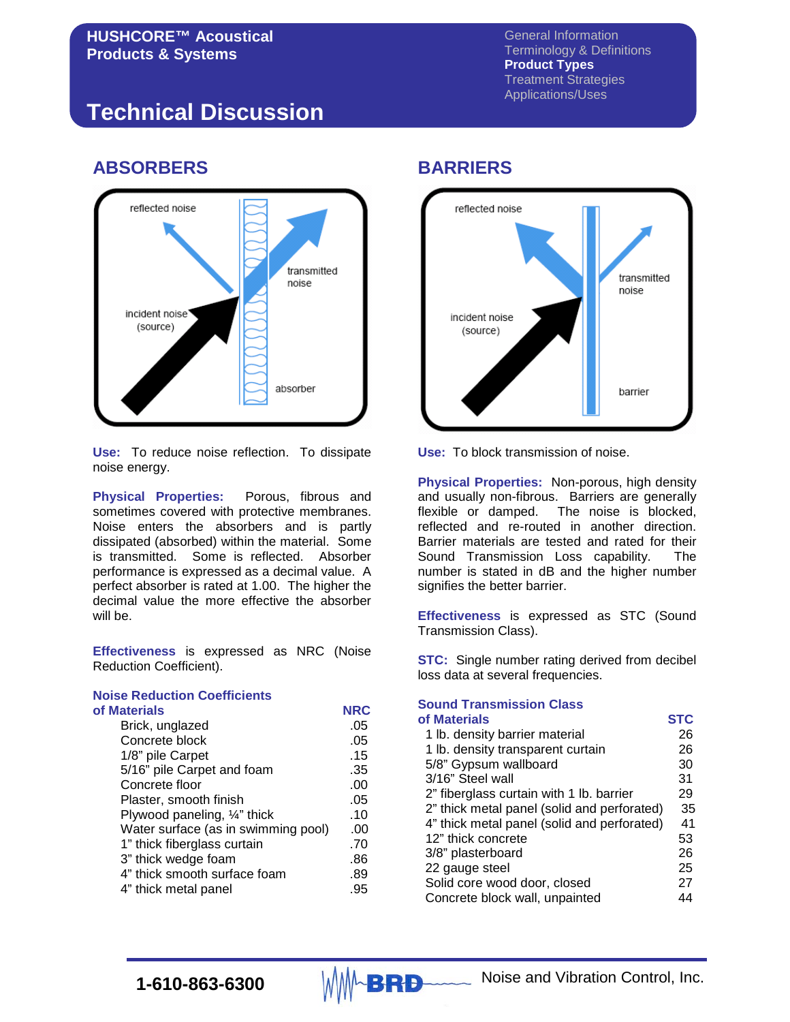General Information Terminology & Definitions **Product Types** Treatment Strategies Applications/Uses

# **Technical Discussion**

## **ABSORBERS**



**Use:** To reduce noise reflection. To dissipate noise energy.

**Physical Properties:** Porous, fibrous and sometimes covered with protective membranes. Noise enters the absorbers and is partly dissipated (absorbed) within the material. Some is transmitted. Some is reflected. Absorber performance is expressed as a decimal value. A perfect absorber is rated at 1.00. The higher the decimal value the more effective the absorber will be.

**Effectiveness** is expressed as NRC (Noise Reduction Coefficient).

#### **Noise Reduction Coefficients of Materials NRC**

| пиацы каз                           |     |
|-------------------------------------|-----|
| Brick, unglazed                     | .05 |
| Concrete block                      | .05 |
| 1/8" pile Carpet                    | .15 |
| 5/16" pile Carpet and foam          | .35 |
| Concrete floor                      | .00 |
| Plaster, smooth finish              | .05 |
| Plywood paneling, 1/4" thick        | .10 |
| Water surface (as in swimming pool) | .00 |
| 1" thick fiberglass curtain         | .70 |
| 3" thick wedge foam                 | .86 |
| 4" thick smooth surface foam        | .89 |
| 4" thick metal panel                | .95 |
|                                     |     |

#### **BARRIERS**



**Use:** To block transmission of noise.

**Physical Properties:** Non-porous, high density and usually non-fibrous. Barriers are generally flexible or damped. The noise is blocked, The noise is blocked, reflected and re-routed in another direction. Barrier materials are tested and rated for their Sound Transmission Loss capability. The number is stated in dB and the higher number signifies the better barrier.

**Effectiveness** is expressed as STC (Sound Transmission Class).

**STC:** Single number rating derived from decibel loss data at several frequencies.

#### **Sound Transmission Class of Materials STC**

|                                             | --- |
|---------------------------------------------|-----|
| 1 lb. density barrier material              | 26  |
| 1 lb. density transparent curtain           | 26  |
| 5/8" Gypsum wallboard                       | 30  |
| 3/16" Steel wall                            | 31  |
| 2" fiberglass curtain with 1 lb. barrier    | 29  |
| 2" thick metal panel (solid and perforated) | 35  |
| 4" thick metal panel (solid and perforated) | 41  |
| 12" thick concrete                          | 53  |
| 3/8" plasterboard                           | 26  |
| 22 gauge steel                              | 25  |
| Solid core wood door, closed                | 27  |
| Concrete block wall, unpainted              | 44  |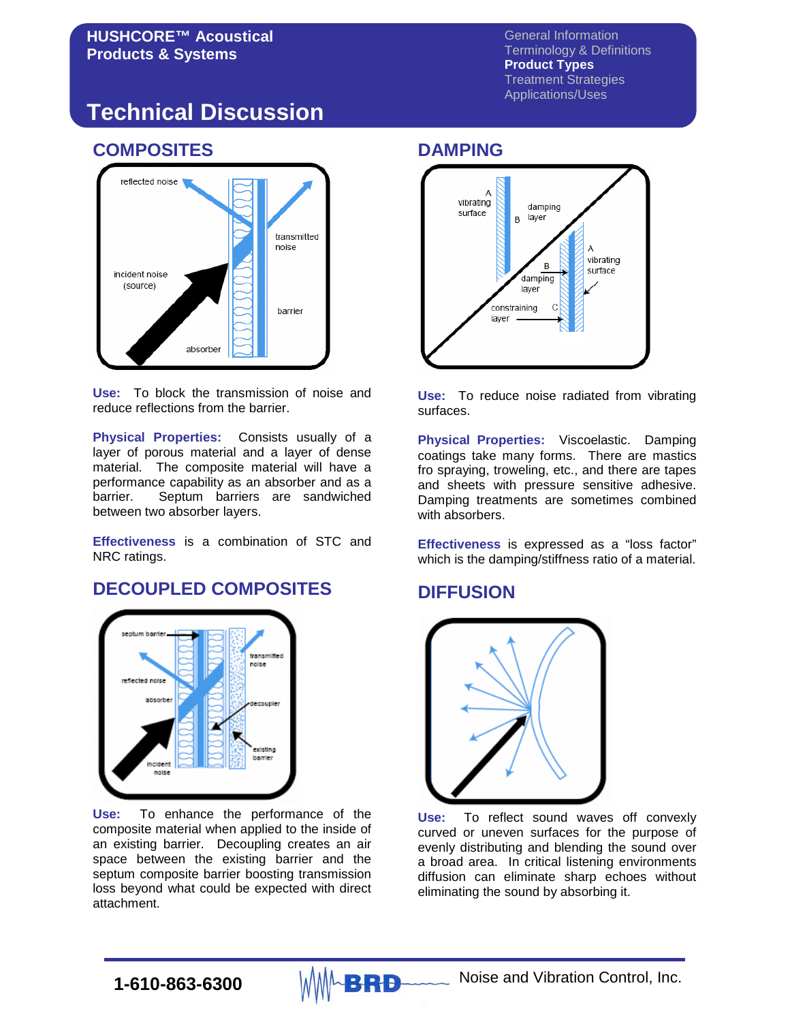General Information Terminology & Definitions **Product Types** Treatment Strategies Applications/Uses

# **Technical Discussion**

# **COMPOSITES**



**Use:** To block the transmission of noise and reduce reflections from the barrier.

**Physical Properties:** Consists usually of a layer of porous material and a layer of dense material. The composite material will have a performance capability as an absorber and as a barrier. Septum barriers are sandwiched between two absorber layers.

**Effectiveness** is a combination of STC and NRC ratings.

## **DECOUPLED COMPOSITES**



**Use:** To enhance the performance of the composite material when applied to the inside of an existing barrier. Decoupling creates an air space between the existing barrier and the septum composite barrier boosting transmission loss beyond what could be expected with direct attachment.

### **DAMPING**



**Use:** To reduce noise radiated from vibrating surfaces.

**Physical Properties:** Viscoelastic. Damping coatings take many forms. There are mastics fro spraying, troweling, etc., and there are tapes and sheets with pressure sensitive adhesive. Damping treatments are sometimes combined with absorbers.

**Effectiveness** is expressed as a "loss factor" which is the damping/stiffness ratio of a material.

### **DIFFUSION**



**Use:** To reflect sound waves off convexly curved or uneven surfaces for the purpose of evenly distributing and blending the sound over a broad area. In critical listening environments diffusion can eliminate sharp echoes without eliminating the sound by absorbing it.